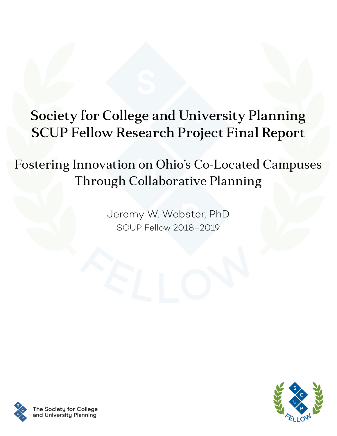# Society for College and University Planning SCUP Fellow Research Project Final Report

# Fostering Innovation on Ohio's Co-Located Campuses Through Collaborative Planning

Jeremy W. Webster, PhD SCUP Fellow 2018–2019



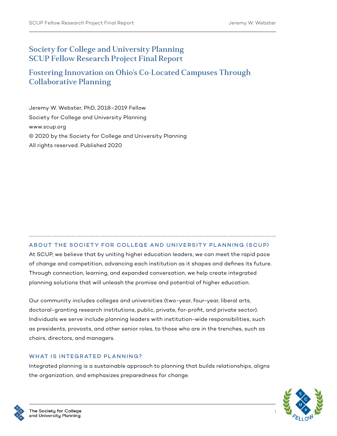### Society for College and University Planning SCUP Fellow Research Project Final Report

### Fostering Innovation on Ohio's Co-Located Campuses Through Collaborative Planning

Jeremy W. Webster, PhD, 2018–2019 Fellow Society for College and University Planning www.scup.org © 2020 by the Society for College and University Planning All rights reserved. Published 2020

### ABOUT THE SOCIETY FOR COLLEGE AND UNIVERSITY PLANNING (SCUP)

At SCUP, we believe that by uniting higher education leaders, we can meet the rapid pace of change and competition, advancing each institution as it shapes and defines its future. Through connection, learning, and expanded conversation, we help create integrated planning solutions that will unleash the promise and potential of higher education.

Our community includes colleges and universities (two-year, four-year, liberal arts, doctoral-granting research institutions, public, private, for-profit, and private sector). Individuals we serve include planning leaders with institution-wide responsibilities, such as presidents, provosts, and other senior roles, to those who are in the trenches, such as chairs, directors, and managers.

#### WHAT IS INTEGRATED PLANNING?

Integrated planning is a sustainable approach to planning that builds relationships, aligns the organization, and emphasizes preparedness for change.



i

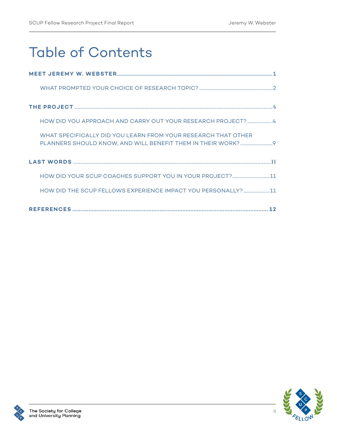# Table of Contents

| HOW DID YOU APPROACH AND CARRY OUT YOUR RESEARCH PROJECT?  4  |
|---------------------------------------------------------------|
| WHAT SPECIFICALLY DID YOU LEARN FROM YOUR RESEARCH THAT OTHER |
|                                                               |
|                                                               |
| HOW DID THE SCUP FELLOWS EXPERIENCE IMPACT YOU PERSONALLY? 11 |
|                                                               |

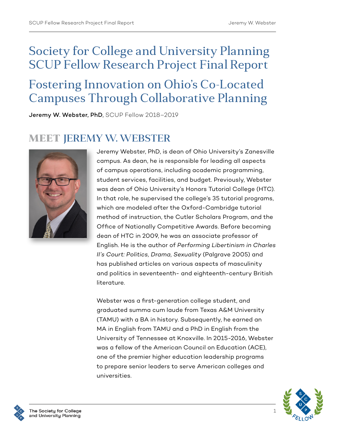## Society for College and University Planning SCUP Fellow Research Project Final Report

## Fostering Innovation on Ohio's Co-Located Campuses Through Collaborative Planning

Jeremy W. Webster, PhD, SCUP Fellow 2018–2019

## MEET JEREMY W. WEBSTER



Jeremy Webster, PhD, is dean of Ohio University's Zanesville campus. As dean, he is responsible for leading all aspects of campus operations, including academic programming, student services, facilities, and budget. Previously, Webster was dean of Ohio University's Honors Tutorial College (HTC). In that role, he supervised the college's 35 tutorial programs, which are modeled after the Oxford-Cambridge tutorial method of instruction, the Cutler Scholars Program, and the Office of Nationally Competitive Awards. Before becoming dean of HTC in 2009, he was an associate professor of English. He is the author of *Performing Libertinism in Charles II's Court: Politics, Drama, Sexuality* (Palgrave 2005) and has published articles on various aspects of masculinity and politics in seventeenth- and eighteenth-century British literature.

Webster was a first-generation college student, and graduated summa cum laude from Texas A&M University (TAMU) with a BA in history. Subsequently, he earned an MA in English from TAMU and a PhD in English from the University of Tennessee at Knoxville. In 2015-2016, Webster was a fellow of the American Council on Education (ACE), one of the premier higher education leadership programs to prepare senior leaders to serve American colleges and universities.



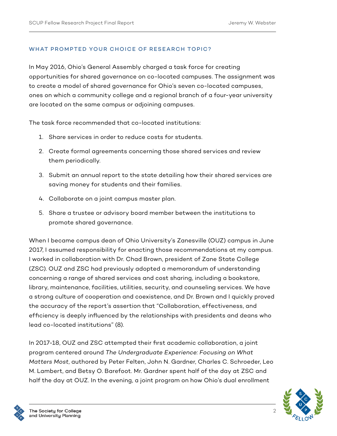### WHAT PROMPTED YOUR CHOICE OF RESEARCH TOPIC?

In May 2016, Ohio's General Assembly charged a task force for creating opportunities for shared governance on co-located campuses. The assignment was to create a model of shared governance for Ohio's seven co-located campuses, ones on which a community college and a regional branch of a four-year university are located on the same campus or adjoining campuses.

The task force recommended that co-located institutions:

- 1. Share services in order to reduce costs for students.
- 2. Create formal agreements concerning those shared services and review them periodically.
- 3. Submit an annual report to the state detailing how their shared services are saving money for students and their families.
- 4. Collaborate on a joint campus master plan.
- 5. Share a trustee or advisory board member between the institutions to promote shared governance.

When I became campus dean of Ohio University's Zanesville (OUZ) campus in June 2017, I assumed responsibility for enacting those recommendations at my campus. I worked in collaboration with Dr. Chad Brown, president of Zane State College (ZSC). OUZ and ZSC had previously adopted a memorandum of understanding concerning a range of shared services and cost sharing, including a bookstore, library, maintenance, facilities, utilities, security, and counseling services. We have a strong culture of cooperation and coexistence, and Dr. Brown and I quickly proved the accuracy of the report's assertion that "Collaboration, effectiveness, and efficiency is deeply influenced by the relationships with presidents and deans who lead co-located institutions" (8).

In 2017-18, OUZ and ZSC attempted their first academic collaboration, a joint program centered around *The Undergraduate Experience: Focusing on What Matters Most*, authored by Peter Felten, John N. Gardner, Charles C. Schroeder, Leo M. Lambert, and Betsy O. Barefoot. Mr. Gardner spent half of the day at ZSC and half the day at OUZ. In the evening, a joint program on how Ohio's dual enrollment



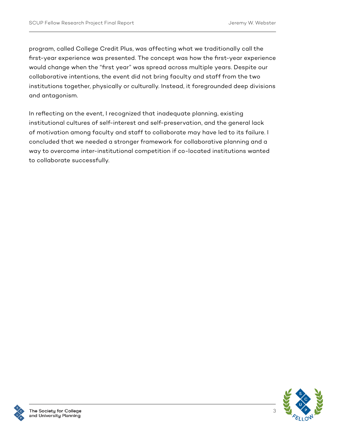program, called College Credit Plus, was affecting what we traditionally call the first-year experience was presented. The concept was how the first-year experience would change when the "first year" was spread across multiple years. Despite our collaborative intentions, the event did not bring faculty and staff from the two institutions together, physically or culturally. Instead, it foregrounded deep divisions and antagonism.

In reflecting on the event, I recognized that inadequate planning, existing institutional cultures of self-interest and self-preservation, and the general lack of motivation among faculty and staff to collaborate may have led to its failure. I concluded that we needed a stronger framework for collaborative planning and a way to overcome inter-institutional competition if co-located institutions wanted to collaborate successfully.

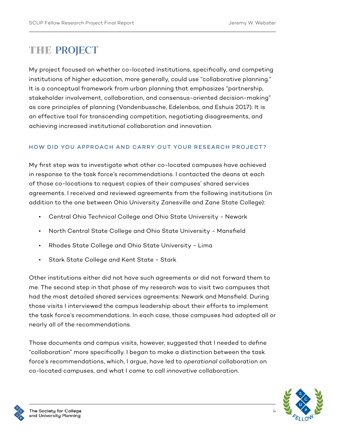## THE PROJECT

My project focused on whether co-located institutions, specifically, and competing institutions of higher education, more generally, could use "collaborative planning." It is a conceptual framework from urban planning that emphasizes "partnership, stakeholder involvement, collaboration, and consensus-oriented decision-making" as core principles of planning (Vandenbussche, Edelenbos, and Eshuis 2017). It is an effective tool for transcending competition, negotiating disagreements, and achieving increased institutional collaboration and innovation.

### HOW DID YOU APPROACH AND CARRY OUT YOUR RESEARCH PROJECT?

My first step was to investigate what other co-located campuses have achieved in response to the task force's recommendations. I contacted the deans at each of those co-locations to request copies of their campuses' shared services agreements. I received and reviewed agreements from the following institutions (in addition to the one between Ohio University Zanesville and Zane State College):

- Central Ohio Technical College and Ohio State University Newark
- North Central State College and Ohio State University Mansfield
- Rhodes State College and Ohio State University Lima
- Stark State College and Kent State Stark

Other institutions either did not have such agreements or did not forward them to me. The second step in that phase of my research was to visit two campuses that had the most detailed shared services agreements: Newark and Mansfield. During those visits I interviewed the campus leadership about their efforts to implement the task force's recommendations. In each case, those campuses had adopted all or nearly all of the recommendations.

Those documents and campus visits, however, suggested that I needed to define "collaboration" more specifically. I began to make a distinction between the task force's recommendations, which, I argue, have led to *operational* collaboration on co-located campuses, and what I came to call *innovative* collaboration.

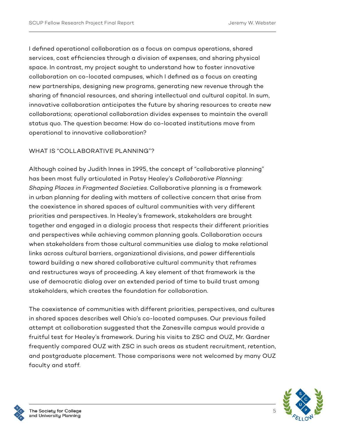I defined operational collaboration as a focus on campus operations, shared services, cost efficiencies through a division of expenses, and sharing physical space. In contrast, my project sought to understand how to foster innovative collaboration on co-located campuses, which I defined as a focus on creating new partnerships, designing new programs, generating new revenue through the sharing of financial resources, and sharing intellectual and cultural capital. In sum, innovative collaboration anticipates the future by sharing resources to create new collaborations; operational collaboration divides expenses to maintain the overall status quo. The question became: How do co-located institutions move from operational to innovative collaboration?

### WHAT IS "COLLABORATIVE PLANNING"?

Although coined by Judith Innes in 1995, the concept of "collaborative planning" has been most fully articulated in Patsy Healey's *Collaborative Planning: Shaping Places in Fragmented Societies*. Collaborative planning is a framework in urban planning for dealing with matters of collective concern that arise from the coexistence in shared spaces of cultural communities with very different priorities and perspectives. In Healey's framework, stakeholders are brought together and engaged in a dialogic process that respects their different priorities and perspectives while achieving common planning goals. Collaboration occurs when stakeholders from those cultural communities use dialog to make relational links across cultural barriers, organizational divisions, and power differentials toward building a new shared collaborative cultural community that reframes and restructures ways of proceeding. A key element of that framework is the use of democratic dialog over an extended period of time to build trust among stakeholders, which creates the foundation for collaboration.

The coexistence of communities with different priorities, perspectives, and cultures in shared spaces describes well Ohio's co-located campuses. Our previous failed attempt at collaboration suggested that the Zanesville campus would provide a fruitful test for Healey's framework. During his visits to ZSC and OUZ, Mr. Gardner frequently compared OUZ with ZSC in such areas as student recruitment, retention, and postgraduate placement. Those comparisons were not welcomed by many OUZ faculty and staff.

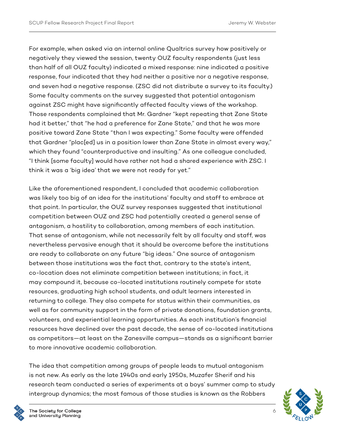For example, when asked via an internal online Qualtrics survey how positively or negatively they viewed the session, twenty OUZ faculty respondents (just less than half of all OUZ faculty) indicated a mixed response: nine indicated a positive response, four indicated that they had neither a positive nor a negative response, and seven had a negative response. (ZSC did not distribute a survey to its faculty.) Some faculty comments on the survey suggested that potential antagonism against ZSC might have significantly affected faculty views of the workshop. Those respondents complained that Mr. Gardner "kept repeating that Zane State had it better," that "he had a preference for Zane State," and that he was more positive toward Zane State "than I was expecting." Some faculty were offended that Gardner "plac[ed] us in a position lower than Zane State in almost every way," which they found "counterproductive and insulting." As one colleague concluded, "I think [some faculty] would have rather not had a shared experience with ZSC. I think it was a 'big idea' that we were not ready for yet."

Like the aforementioned respondent, I concluded that academic collaboration was likely too big of an idea for the institutions' faculty and staff to embrace at that point. In particular, the OUZ survey responses suggested that institutional competition between OUZ and ZSC had potentially created a general sense of antagonism, a hostility to collaboration, among members of each institution. That sense of antagonism, while not necessarily felt by all faculty and staff, was nevertheless pervasive enough that it should be overcome before the institutions are ready to collaborate on any future "big ideas." One source of antagonism between those institutions was the fact that, contrary to the state's intent, co-location does not eliminate competition between institutions; in fact, it may compound it, because co-located institutions routinely compete for state resources, graduating high school students, and adult learners interested in returning to college. They also compete for status within their communities, as well as for community support in the form of private donations, foundation grants, volunteers, and experiential learning opportunities. As each institution's financial resources have declined over the past decade, the sense of co-located institutions as competitors—at least on the Zanesville campus—stands as a significant barrier to more innovative academic collaboration.

The idea that competition among groups of people leads to mutual antagonism is not new. As early as the late 1940s and early 1950s, Muzafer Sherif and his research team conducted a series of experiments at a boys' summer camp to study intergroup dynamics; the most famous of those studies is known as the Robbers



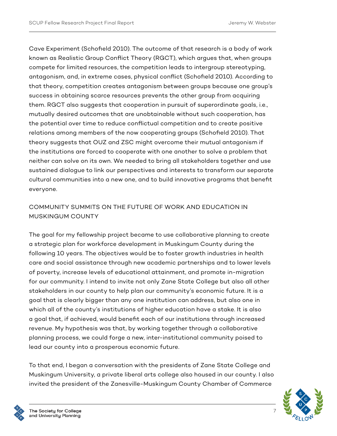Cave Experiment (Schofield 2010). The outcome of that research is a body of work known as Realistic Group Conflict Theory (RGCT), which argues that, when groups compete for limited resources, the competition leads to intergroup stereotyping, antagonism, and, in extreme cases, physical conflict (Schofield 2010). According to that theory, competition creates antagonism between groups because one group's success in obtaining scarce resources prevents the other group from acquiring them. RGCT also suggests that cooperation in pursuit of superordinate goals, i.e., mutually desired outcomes that are unobtainable without such cooperation, has the potential over time to reduce conflictual competition and to create positive relations among members of the now cooperating groups (Schofield 2010). That theory suggests that OUZ and ZSC might overcome their mutual antagonism if the institutions are forced to cooperate with one another to solve a problem that neither can solve on its own. We needed to bring all stakeholders together and use sustained dialogue to link our perspectives and interests to transform our separate cultural communities into a new one, and to build innovative programs that benefit everyone.

### COMMUNITY SUMMITS ON THE FUTURE OF WORK AND EDUCATION IN MUSKINGUM COUNTY

The goal for my fellowship project became to use collaborative planning to create a strategic plan for workforce development in Muskingum County during the following 10 years. The objectives would be to foster growth industries in health care and social assistance through new academic partnerships and to lower levels of poverty, increase levels of educational attainment, and promote in-migration for our community. I intend to invite not only Zane State College but also all other stakeholders in our county to help plan our community's economic future. It is a goal that is clearly bigger than any one institution can address, but also one in which all of the county's institutions of higher education have a stake. It is also a goal that, if achieved, would benefit each of our institutions through increased revenue. My hypothesis was that, by working together through a collaborative planning process, we could forge a new, inter-institutional community poised to lead our county into a prosperous economic future.

To that end, I began a conversation with the presidents of Zane State College and Muskingum University, a private liberal arts college also housed in our county. I also invited the president of the Zanesville-Muskingum County Chamber of Commerce

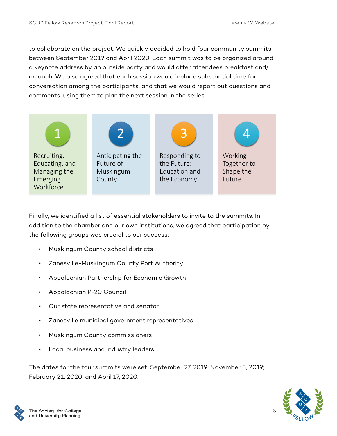to collaborate on the project. We quickly decided to hold four community summits between September 2019 and April 2020. Each summit was to be organized around a keynote address by an outside party and would offer attendees breakfast and/ or lunch. We also agreed that each session would include substantial time for conversation among the participants, and that we would report out questions and  
comments, using them to plan the next session in the series.



Finally, we identified a list of essential stakeholders to invite to the summits. In addition to the chamber and our own institutions, we agreed that participation by the following groups was crucial to our success:

- Muskingum County school districts
- Zanesville-Muskingum County Port Authority
- Appalachian Partnership for Economic Growth
- Appalachian P-20 Council
- Our state representative and senator
- Zanesville municipal government representatives
- Muskingum County commissioners
- Local business and industry leaders

The dates for the four summits were set: September 27, 2019; November 8, 2019; February 21, 2020; and April 17, 2020.



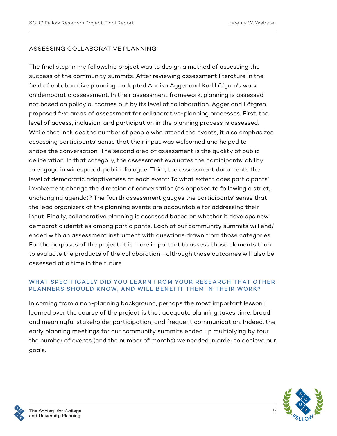### ASSESSING COLLABORATIVE PLANNING

The final step in my fellowship project was to design a method of assessing the success of the community summits. After reviewing assessment literature in the field of collaborative planning, I adapted Annika Agger and Karl Löfgren's work on democratic assessment. In their assessment framework, planning is assessed not based on policy outcomes but by its level of collaboration. Agger and Löfgren proposed five areas of assessment for collaborative-planning processes. First, the level of access, inclusion, and participation in the planning process is assessed. While that includes the number of people who attend the events, it also emphasizes assessing participants' sense that their input was welcomed and helped to shape the conversation. The second area of assessment is the quality of public deliberation. In that category, the assessment evaluates the participants' ability to engage in widespread, public dialogue. Third, the assessment documents the level of democratic adaptiveness at each event: To what extent does participants' involvement change the direction of conversation (as opposed to following a strict, unchanging agenda)? The fourth assessment gauges the participants' sense that the lead organizers of the planning events are accountable for addressing their input. Finally, collaborative planning is assessed based on whether it develops new democratic identities among participants. Each of our community summits will end/ ended with an assessment instrument with questions drawn from those categories. For the purposes of the project, it is more important to assess those elements than to evaluate the products of the collaboration—although those outcomes will also be assessed at a time in the future.

### WHAT SPECIFICALLY DID YOU LEARN FROM YOUR RESEARCH THAT OTHER PLANNERS SHOULD KNOW, AND WILL BENEFIT THEM IN THEIR WORK?

In coming from a non-planning background, perhaps the most important lesson I learned over the course of the project is that adequate planning takes time, broad and meaningful stakeholder participation, and frequent communication. Indeed, the early planning meetings for our community summits ended up multiplying by four the number of events (and the number of months) we needed in order to achieve our goals.



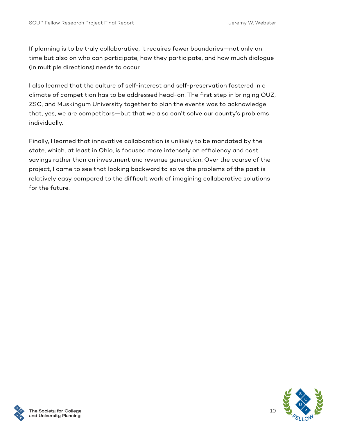If planning is to be truly collaborative, it requires fewer boundaries—not only on time but also on who can participate, how they participate, and how much dialogue (in multiple directions) needs to occur.

I also learned that the culture of self-interest and self-preservation fostered in a climate of competition has to be addressed head-on. The first step in bringing OUZ, ZSC, and Muskingum University together to plan the events was to acknowledge that, yes, we are competitors—but that we also can't solve our county's problems individually.

Finally, I learned that innovative collaboration is unlikely to be mandated by the state, which, at least in Ohio, is focused more intensely on efficiency and cost savings rather than on investment and revenue generation. Over the course of the project, I came to see that looking backward to solve the problems of the past is relatively easy compared to the difficult work of imagining collaborative solutions for the future.

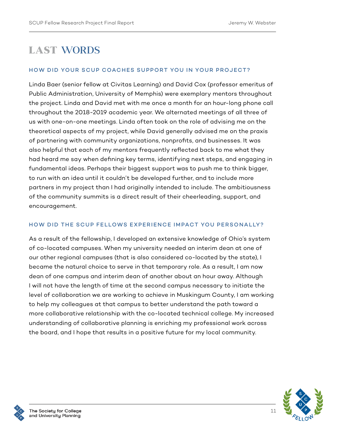## LAST WORDS

### HOW DID YOUR SCUP COACHES SUPPORT YOU IN YOUR PROJECT?

Linda Baer (senior fellow at Civitas Learning) and David Cox (professor emeritus of Public Administration, University of Memphis) were exemplary mentors throughout the project. Linda and David met with me once a month for an hour-long phone call throughout the 2018-2019 academic year. We alternated meetings of all three of us with one-on-one meetings. Linda often took on the role of advising me on the theoretical aspects of my project, while David generally advised me on the praxis of partnering with community organizations, nonprofits, and businesses. It was also helpful that each of my mentors frequently reflected back to me what they had heard me say when defining key terms, identifying next steps, and engaging in fundamental ideas. Perhaps their biggest support was to push me to think bigger, to run with an idea until it couldn't be developed further, and to include more partners in my project than I had originally intended to include. The ambitiousness of the community summits is a direct result of their cheerleading, support, and encouragement.

### HOW DID THE SCUP FELLOWS EXPERIENCE IMPACT YOU PERSONALLY?

As a result of the fellowship, I developed an extensive knowledge of Ohio's system of co-located campuses. When my university needed an interim dean at one of our other regional campuses (that is also considered co-located by the state), I became the natural choice to serve in that temporary role. As a result, I am now dean of one campus and interim dean of another about an hour away. Although I will not have the length of time at the second campus necessary to initiate the level of collaboration we are working to achieve in Muskingum County, I am working to help my colleagues at that campus to better understand the path toward a more collaborative relationship with the co-located technical college. My increased understanding of collaborative planning is enriching my professional work across the board, and I hope that results in a positive future for my local community.